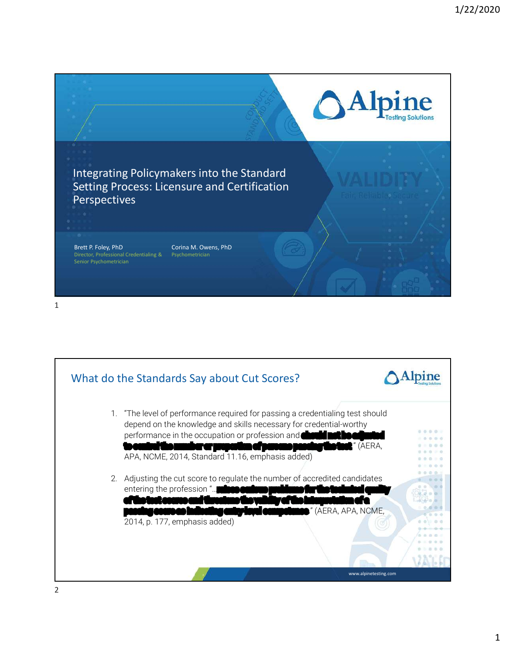



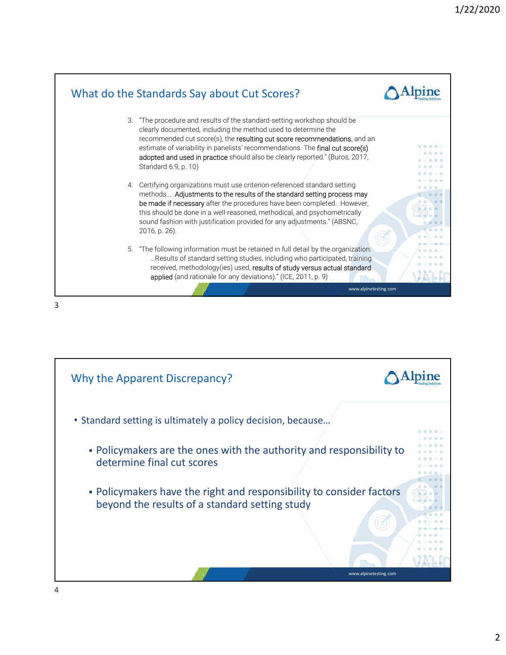

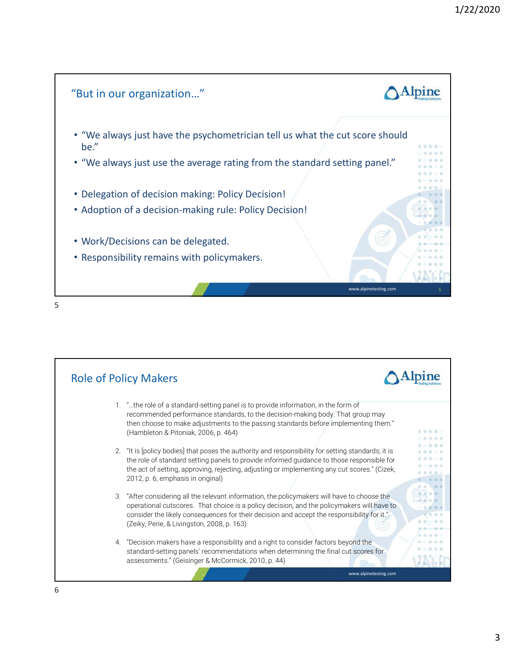



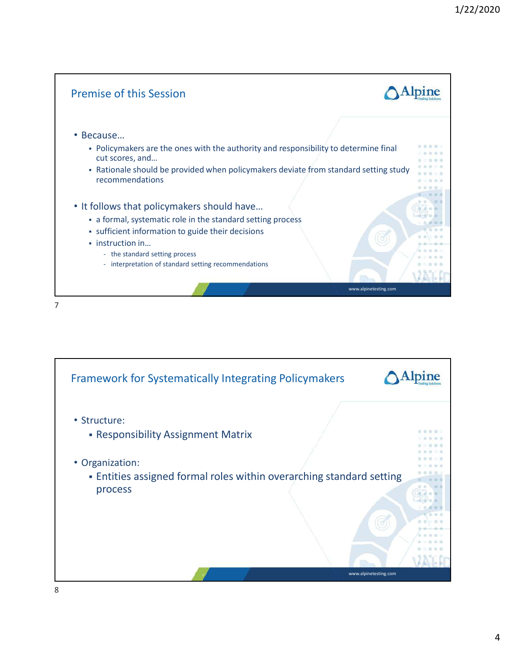

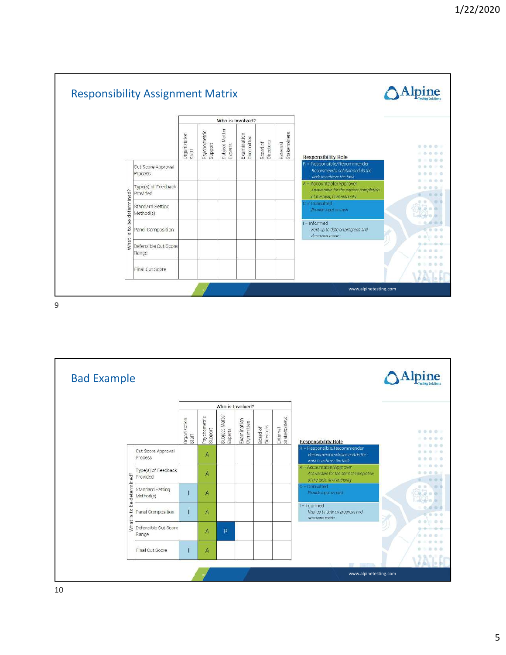

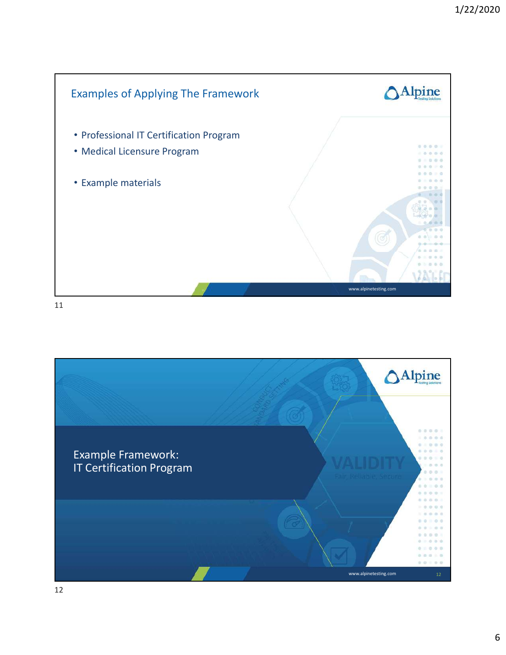

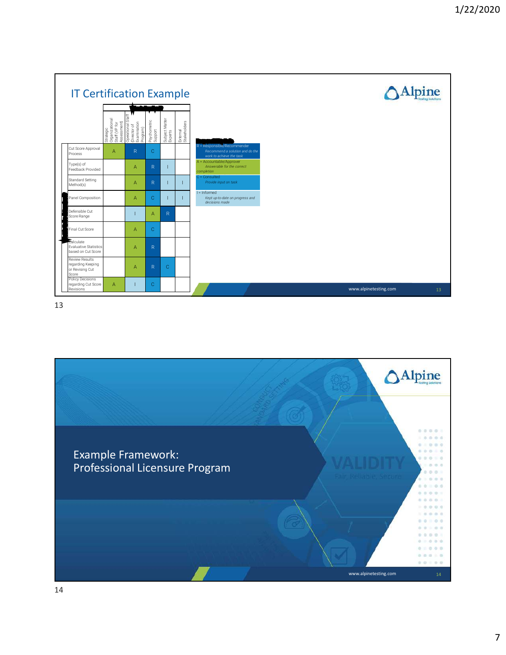

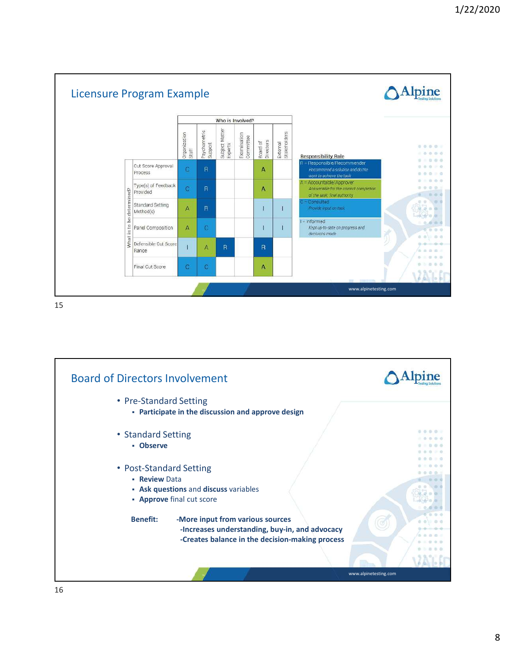

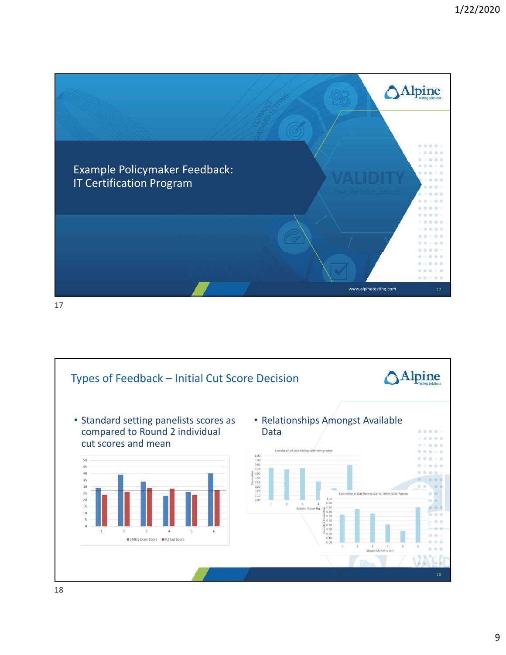

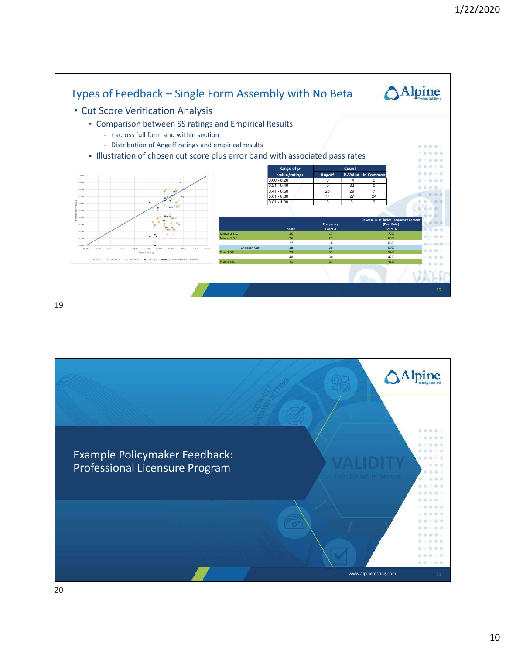

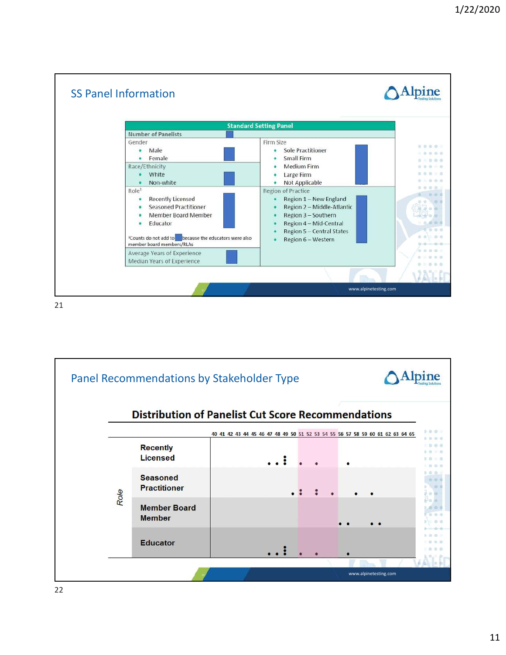![](_page_10_Figure_1.jpeg)

![](_page_10_Figure_3.jpeg)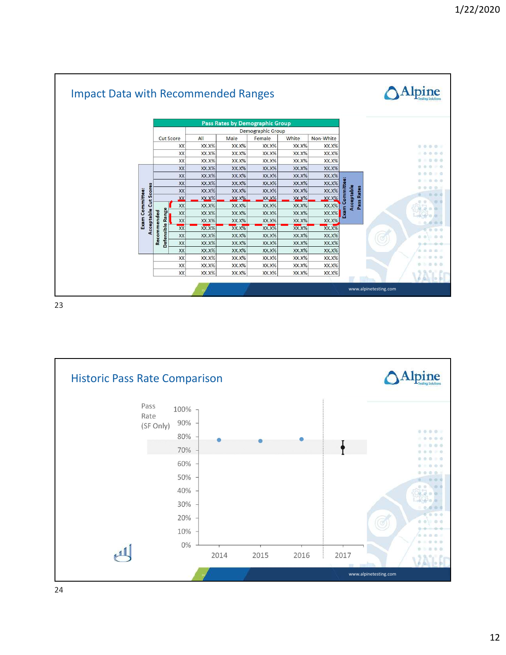![](_page_11_Figure_1.jpeg)

![](_page_11_Figure_3.jpeg)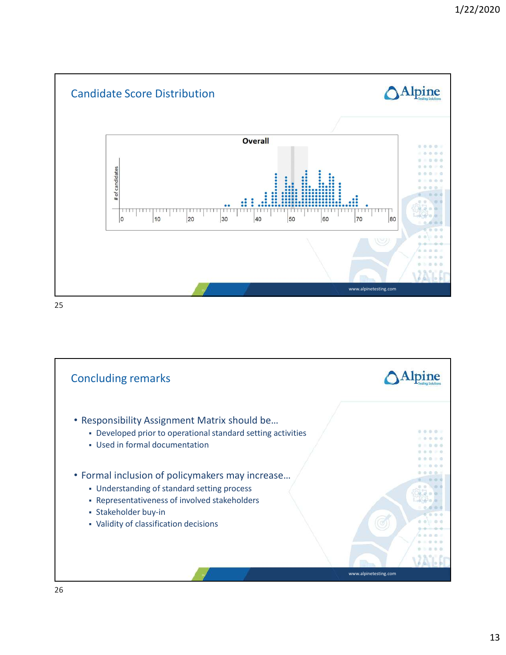![](_page_12_Figure_1.jpeg)

![](_page_12_Figure_3.jpeg)